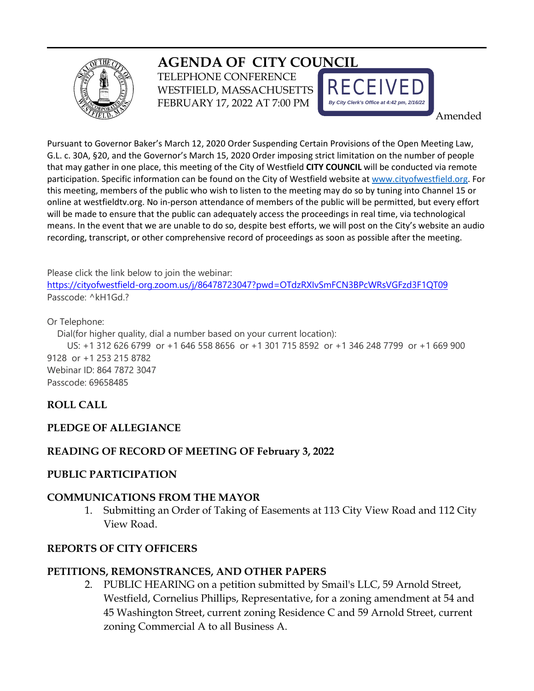

# **AGENDA OF CITY COUNCIL**

TELEPHONE CONFERENCE WESTFIELD, MASSACHUSETTS FEBRUARY 17, 2022 AT 7:00 PM



Amended

Pursuant to Governor Baker's March 12, 2020 Order Suspending Certain Provisions of the Open Meeting Law, G.L. c. 30A, §20, and the Governor's March 15, 2020 Order imposing strict limitation on the number of people that may gather in one place, this meeting of the City of Westfield **CITY COUNCIL** will be conducted via remote participation. Specific information can be found on the City of Westfield website a[t www.cityofwestfield.org.](http://www.cityofwestfield.org/) For this meeting, members of the public who wish to listen to the meeting may do so by tuning into Channel 15 or online at westfieldtv.org. No in-person attendance of members of the public will be permitted, but every effort will be made to ensure that the public can adequately access the proceedings in real time, via technological means. In the event that we are unable to do so, despite best efforts, we will post on the City's website an audio recording, transcript, or other comprehensive record of proceedings as soon as possible after the meeting.

Please click the link below to join the webinar:

<https://cityofwestfield-org.zoom.us/j/86478723047?pwd=OTdzRXIvSmFCN3BPcWRsVGFzd3F1QT09> Passcode: ^kH1Gd.?

Or Telephone:

Dial(for higher quality, dial a number based on your current location):

 US: +1 312 626 6799 or +1 646 558 8656 or +1 301 715 8592 or +1 346 248 7799 or +1 669 900 9128 or +1 253 215 8782 Webinar ID: 864 7872 3047 Passcode: 69658485

# **ROLL CALL**

## **PLEDGE OF ALLEGIANCE**

## **READING OF RECORD OF MEETING OF February 3, 2022**

#### **PUBLIC PARTICIPATION**

#### **COMMUNICATIONS FROM THE MAYOR**

1. Submitting an Order of Taking of Easements at 113 City View Road and 112 City View Road.

#### **REPORTS OF CITY OFFICERS**

## **PETITIONS, REMONSTRANCES, AND OTHER PAPERS**

2. PUBLIC HEARING on a petition submitted by Smail's LLC, 59 Arnold Street, Westfield, Cornelius Phillips, Representative, for a zoning amendment at 54 and 45 Washington Street, current zoning Residence C and 59 Arnold Street, current zoning Commercial A to all Business A.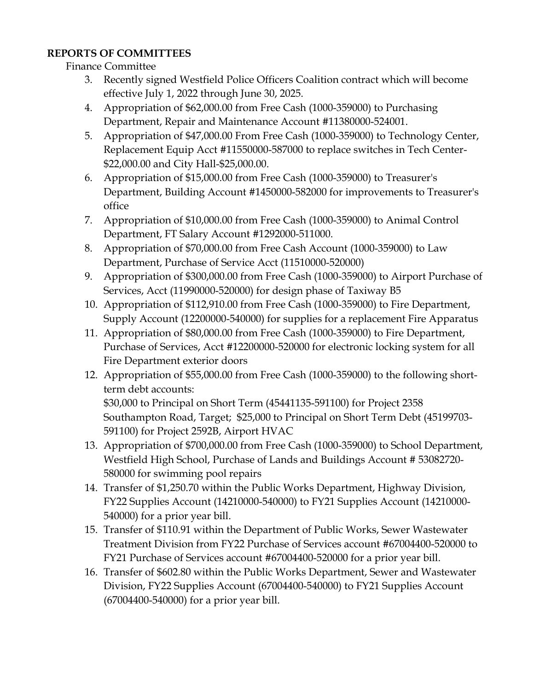# **REPORTS OF COMMITTEES**

Finance Committee

- 3. Recently signed Westfield Police Officers Coalition contract which will become effective July 1, 2022 through June 30, 2025.
- 4. Appropriation of \$62,000.00 from Free Cash (1000-359000) to Purchasing Department, Repair and Maintenance Account #11380000-524001.
- 5. Appropriation of \$47,000.00 From Free Cash (1000-359000) to Technology Center, Replacement Equip Acct #11550000-587000 to replace switches in Tech Center- \$22,000.00 and City Hall-\$25,000.00.
- 6. Appropriation of \$15,000.00 from Free Cash (1000-359000) to Treasurer's Department, Building Account #1450000-582000 for improvements to Treasurer's office
- 7. Appropriation of \$10,000.00 from Free Cash (1000-359000) to Animal Control Department, FT Salary Account #1292000-511000.
- 8. Appropriation of \$70,000.00 from Free Cash Account (1000-359000) to Law Department, Purchase of Service Acct (11510000-520000)
- 9. Appropriation of \$300,000.00 from Free Cash (1000-359000) to Airport Purchase of Services, Acct (11990000-520000) for design phase of Taxiway B5
- 10. Appropriation of \$112,910.00 from Free Cash (1000-359000) to Fire Department, Supply Account (12200000-540000) for supplies for a replacement Fire Apparatus
- 11. Appropriation of \$80,000.00 from Free Cash (1000-359000) to Fire Department, Purchase of Services, Acct #12200000-520000 for electronic locking system for all Fire Department exterior doors
- 12. Appropriation of \$55,000.00 from Free Cash (1000-359000) to the following shortterm debt accounts:

\$30,000 to Principal on Short Term (45441135-591100) for Project 2358 Southampton Road, Target; \$25,000 to Principal on Short Term Debt (45199703- 591100) for Project 2592B, Airport HVAC

- 13. Appropriation of \$700,000.00 from Free Cash (1000-359000) to School Department, Westfield High School, Purchase of Lands and Buildings Account # 53082720- 580000 for swimming pool repairs
- 14. Transfer of \$1,250.70 within the Public Works Department, Highway Division, FY22 Supplies Account (14210000-540000) to FY21 Supplies Account (14210000- 540000) for a prior year bill.
- 15. Transfer of \$110.91 within the Department of Public Works, Sewer Wastewater Treatment Division from FY22 Purchase of Services account #67004400-520000 to FY21 Purchase of Services account #67004400-520000 for a prior year bill.
- 16. Transfer of \$602.80 within the Public Works Department, Sewer and Wastewater Division, FY22 Supplies Account (67004400-540000) to FY21 Supplies Account (67004400-540000) for a prior year bill.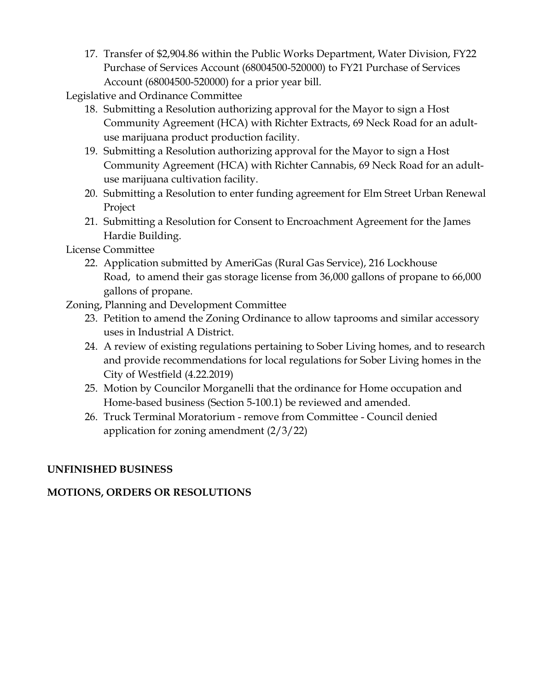17. Transfer of \$2,904.86 within the Public Works Department, Water Division, FY22 Purchase of Services Account (68004500-520000) to FY21 Purchase of Services Account (68004500-520000) for a prior year bill.

Legislative and Ordinance Committee

- 18. Submitting a Resolution authorizing approval for the Mayor to sign a Host Community Agreement (HCA) with Richter Extracts, 69 Neck Road for an adultuse marijuana product production facility.
- 19. Submitting a Resolution authorizing approval for the Mayor to sign a Host Community Agreement (HCA) with Richter Cannabis, 69 Neck Road for an adultuse marijuana cultivation facility.
- 20. Submitting a Resolution to enter funding agreement for Elm Street Urban Renewal Project
- 21. Submitting a Resolution for Consent to Encroachment Agreement for the James Hardie Building.

License Committee

22. Application submitted by AmeriGas (Rural Gas Service), 216 Lockhouse Road, to amend their gas storage license from 36,000 gallons of propane to 66,000 gallons of propane.

Zoning, Planning and Development Committee

- 23. Petition to amend the Zoning Ordinance to allow taprooms and similar accessory uses in Industrial A District.
- 24. A review of existing regulations pertaining to Sober Living homes, and to research and provide recommendations for local regulations for Sober Living homes in the City of Westfield (4.22.2019)
- 25. Motion by Councilor Morganelli that the ordinance for Home occupation and Home-based business (Section 5-100.1) be reviewed and amended.
- 26. Truck Terminal Moratorium remove from Committee Council denied application for zoning amendment (2/3/22)

# **UNFINISHED BUSINESS**

# **MOTIONS, ORDERS OR RESOLUTIONS**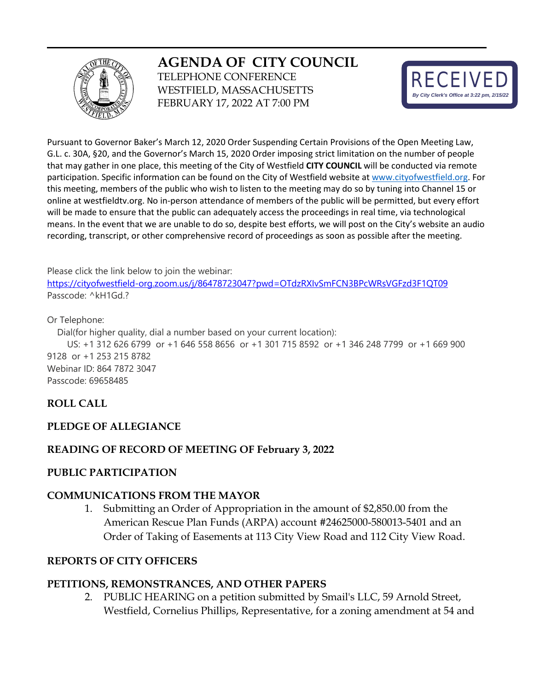

# **AGENDA OF CITY COUNCIL**

TELEPHONE CONFERENCE WESTFIELD, MASSACHUSETTS FEBRUARY 17, 2022 AT 7:00 PM



Pursuant to Governor Baker's March 12, 2020 Order Suspending Certain Provisions of the Open Meeting Law, G.L. c. 30A, §20, and the Governor's March 15, 2020 Order imposing strict limitation on the number of people that may gather in one place, this meeting of the City of Westfield **CITY COUNCIL** will be conducted via remote participation. Specific information can be found on the City of Westfield website a[t www.cityofwestfield.org.](http://www.cityofwestfield.org/) For this meeting, members of the public who wish to listen to the meeting may do so by tuning into Channel 15 or online at westfieldtv.org. No in-person attendance of members of the public will be permitted, but every effort will be made to ensure that the public can adequately access the proceedings in real time, via technological means. In the event that we are unable to do so, despite best efforts, we will post on the City's website an audio recording, transcript, or other comprehensive record of proceedings as soon as possible after the meeting.

Please click the link below to join the webinar:

<https://cityofwestfield-org.zoom.us/j/86478723047?pwd=OTdzRXIvSmFCN3BPcWRsVGFzd3F1QT09> Passcode: ^kH1Gd.?

Or Telephone:

Dial(for higher quality, dial a number based on your current location):

 US: +1 312 626 6799 or +1 646 558 8656 or +1 301 715 8592 or +1 346 248 7799 or +1 669 900 9128 or +1 253 215 8782 Webinar ID: 864 7872 3047 Passcode: 69658485

# **ROLL CALL**

## **PLEDGE OF ALLEGIANCE**

## **READING OF RECORD OF MEETING OF February 3, 2022**

## **PUBLIC PARTICIPATION**

## **COMMUNICATIONS FROM THE MAYOR**

1. Submitting an Order of Appropriation in the amount of \$2,850.00 from the American Rescue Plan Funds (ARPA) account #24625000-580013-5401 and an Order of Taking of Easements at 113 City View Road and 112 City View Road.

## **REPORTS OF CITY OFFICERS**

## **PETITIONS, REMONSTRANCES, AND OTHER PAPERS**

2. PUBLIC HEARING on a petition submitted by Smail's LLC, 59 Arnold Street, Westfield, Cornelius Phillips, Representative, for a zoning amendment at 54 and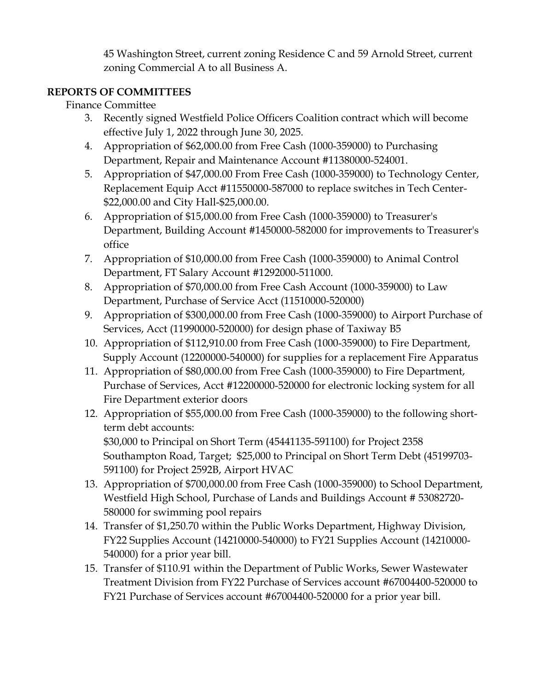45 Washington Street, current zoning Residence C and 59 Arnold Street, current zoning Commercial A to all Business A.

# **REPORTS OF COMMITTEES**

# Finance Committee

- 3. Recently signed Westfield Police Officers Coalition contract which will become effective July 1, 2022 through June 30, 2025.
- 4. Appropriation of \$62,000.00 from Free Cash (1000-359000) to Purchasing Department, Repair and Maintenance Account #11380000-524001.
- 5. Appropriation of \$47,000.00 From Free Cash (1000-359000) to Technology Center, Replacement Equip Acct #11550000-587000 to replace switches in Tech Center- \$22,000.00 and City Hall-\$25,000.00.
- 6. Appropriation of \$15,000.00 from Free Cash (1000-359000) to Treasurer's Department, Building Account #1450000-582000 for improvements to Treasurer's office
- 7. Appropriation of \$10,000.00 from Free Cash (1000-359000) to Animal Control Department, FT Salary Account #1292000-511000.
- 8. Appropriation of \$70,000.00 from Free Cash Account (1000-359000) to Law Department, Purchase of Service Acct (11510000-520000)
- 9. Appropriation of \$300,000.00 from Free Cash (1000-359000) to Airport Purchase of Services, Acct (11990000-520000) for design phase of Taxiway B5
- 10. Appropriation of \$112,910.00 from Free Cash (1000-359000) to Fire Department, Supply Account (12200000-540000) for supplies for a replacement Fire Apparatus
- 11. Appropriation of \$80,000.00 from Free Cash (1000-359000) to Fire Department, Purchase of Services, Acct #12200000-520000 for electronic locking system for all Fire Department exterior doors
- 12. Appropriation of \$55,000.00 from Free Cash (1000-359000) to the following shortterm debt accounts: \$30,000 to Principal on Short Term (45441135-591100) for Project 2358 Southampton Road, Target; \$25,000 to Principal on Short Term Debt (45199703- 591100) for Project 2592B, Airport HVAC
- 13. Appropriation of \$700,000.00 from Free Cash (1000-359000) to School Department, Westfield High School, Purchase of Lands and Buildings Account # 53082720- 580000 for swimming pool repairs
- 14. Transfer of \$1,250.70 within the Public Works Department, Highway Division, FY22 Supplies Account (14210000-540000) to FY21 Supplies Account (14210000- 540000) for a prior year bill.
- 15. Transfer of \$110.91 within the Department of Public Works, Sewer Wastewater Treatment Division from FY22 Purchase of Services account #67004400-520000 to FY21 Purchase of Services account #67004400-520000 for a prior year bill.